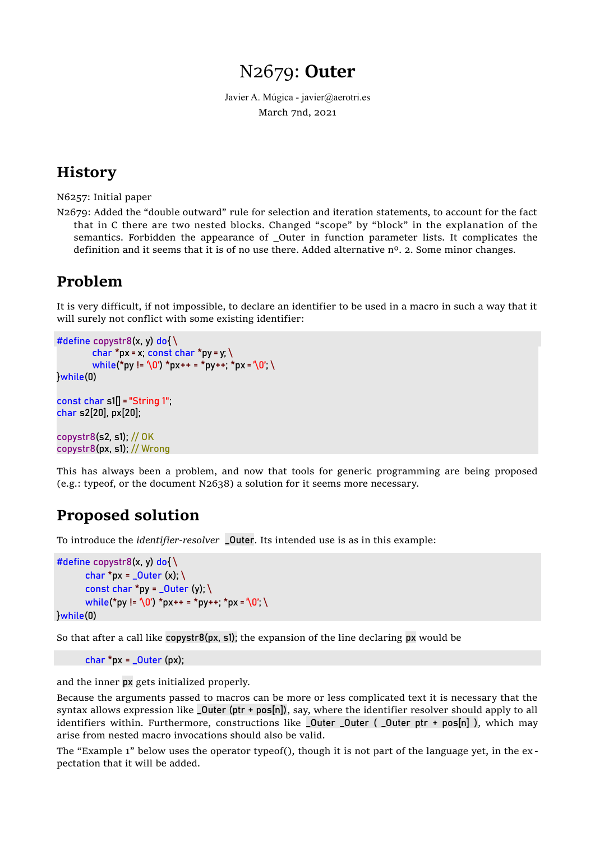# N2679: **Outer**

Javier A. Múgica - javier@aerotri.es March 7nd, 2021

## **History**

N6257: Initial paper

N2679: Added the "double outward" rule for selection and iteration statements, to account for the fact that in C there are two nested blocks. Changed "scope" by "block" in the explanation of the semantics. Forbidden the appearance of Outer in function parameter lists. It complicates the definition and it seems that it is of no use there. Added alternative  $n<sup>o</sup>$ . 2. Some minor changes.

## **Problem**

It is very difficult, if not impossible, to declare an identifier to be used in a macro in such a way that it will surely not conflict with some existing identifier:

```
#define copystr8(x, y) do{\setminuschar *px = x; const char *py = y; \langlewhile(*py != '\0') *px++ = *py++; *px = '\0'; \
}while(0)
```

```
const char \text{SIII} = "String 1"char s2[20], px[20];
```
copystr8(s2, s1); // OK copystr8(px, s1); // Wrong

This has always been a problem, and now that tools for generic programming are being proposed (e.g.: typeof, or the document N2638) a solution for it seems more necessary.

# **Proposed solution**

To introduce the *identifier-resolver* \_Outer. Its intended use is as in this example:

```
#define copystr8(x, y) do{ \
       char *px = Quter (x); \
        const char *py = \text{\_}Outer (y); \mathcal{E}while(*py != '\0') *px++ = *py++; *px = '\0'; \
}while(0)
```
So that after a call like copystr8(px, s1); the expansion of the line declaring px would be

```
char *px = - Outer (px);
```
and the inner px gets initialized properly.

Because the arguments passed to macros can be more or less complicated text it is necessary that the syntax allows expression like  $\text{\_}Out$  (ptr + pos[n]), say, where the identifier resolver should apply to all identifiers within. Furthermore, constructions like **\_Outer \_Outer (** \_Outer ptr + pos[n] ), which may arise from nested macro invocations should also be valid.

The "Example 1" below uses the operator typeof(), though it is not part of the language yet, in the ex pectation that it will be added.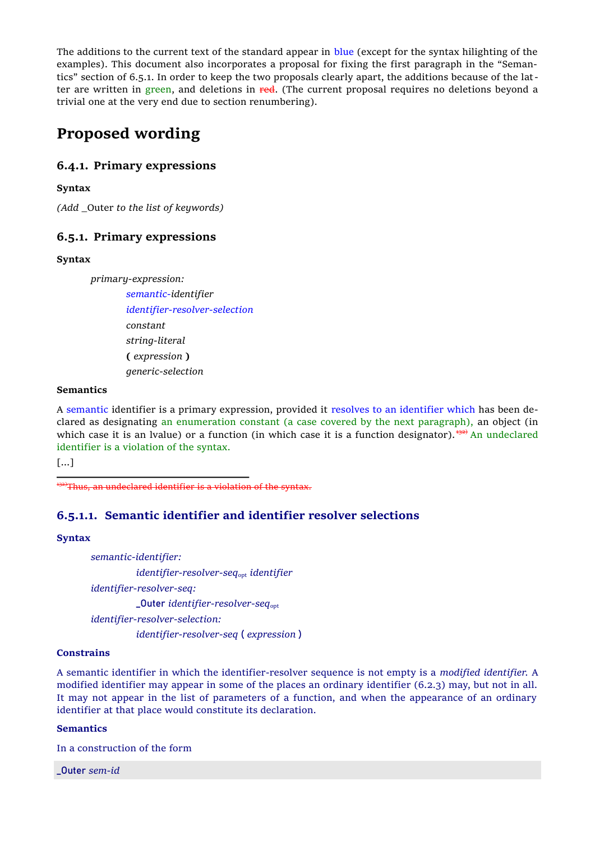The additions to the current text of the standard appear in blue (except for the syntax hilighting of the examples). This document also incorporates a proposal for fixing the first paragraph in the "Semantics" section of 6.5.1. In order to keep the two proposals clearly apart, the additions because of the latter are written in green, and deletions in red. (The current proposal requires no deletions beyond a trivial one at the very end due to section renumbering).

## **Proposed wording**

### **6.4.1. Primary expressions**

**Syntax**

*(Add* \_Outer *to the list of keywords)*

### **6.5.1. Primary expressions**

#### **Syntax**

*primary-expression:*

*semantic-identifier identifier-resolver-selection constant string-literal* **(** *expression* **)** *generic-selection*

#### **Semantics**

A semantic identifier is a primary expression, provided it resolves to an identifier which has been declared as designating an enumeration constant (a case covered by the next paragraph), an object (in which case it is an Ivalue) or a function (in which case it is a function designator).  $\frac{132}{2}$  An undeclared identifier is a violation of the syntax.

[...]

 $132$ <sup>132)</sup>Thus, an undeclared identifier is a violation of the syntax.

### **6.5.1.1. Semantic identifier and identifier resolver selections**

#### **Syntax**

*semantic-identifier: identifier-resolver-seq*opt *identifier identifier-resolver-seq:* \_Outer *identifier-resolver-seq*opt *identifier-resolver-selection: identifier-resolver-seq* ( *expression* )

#### **Constrains**

A semantic identifier in which the identifier-resolver sequence is not empty is a *modified identifier.* A modified identifier may appear in some of the places an ordinary identifier (6.2.3) may, but not in all. It may not appear in the list of parameters of a function, and when the appearance of an ordinary identifier at that place would constitute its declaration.

#### **Semantics**

In a construction of the form

\_Outer *sem-id*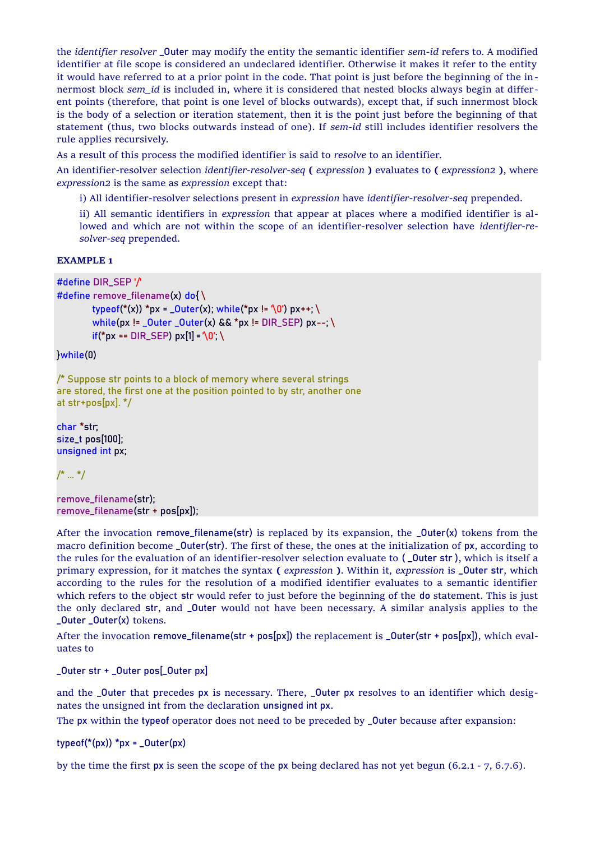the *identifier resolver* \_Outer may modify the entity the semantic identifier *sem-id* refers to. A modified identifier at file scope is considered an undeclared identifier. Otherwise it makes it refer to the entity it would have referred to at a prior point in the code. That point is just before the beginning of the innermost block *sem\_id* is included in, where it is considered that nested blocks always begin at different points (therefore, that point is one level of blocks outwards), except that, if such innermost block is the body of a selection or iteration statement, then it is the point just before the beginning of that statement (thus, two blocks outwards instead of one). If *sem-id* still includes identifier resolvers the rule applies recursively.

As a result of this process the modified identifier is said to *resolve* to an identifier.

An identifier-resolver selection *identifier-resolver-seq* **(** *expression* **)** evaluates to **(** *expression2* **)**, where *expression2* is the same as *expression* except that:

i) All identifier-resolver selections present in *expression* have *identifier-resolver-seq* prepended.

ii) All semantic identifiers in *expression* that appear at places where a modified identifier is allowed and which are not within the scope of an identifier-resolver selection have *identifier-resolver-seq* prepended.

#### **EXAMPLE 1**

```
#define DIR_SEP '/'
```

```
#define remove_filename(x) do{ \
         typeof(*(x)) *px = _0uter(x); while(*px != \sqrt{0}) px++; \sqrt{0}while(px != \text{Outer}_\text{outer}(x) && *px != DIR_SEP) px --; \
         if("px == DIR SEP) px[1] = '0'; \
```
}while(0)

/\* Suppose str points to a block of memory where several strings are stored, the first one at the position pointed to by str, another one at str+pos[px]. \*/

char \*str; size\_t pos[100]; unsigned int px;

/\* ... \*/

remove\_filename(str); remove\_filename(str + pos[px]);

After the invocation remove\_filename(str) is replaced by its expansion, the \_Outer(x) tokens from the macro definition become \_Outer(str). The first of these, the ones at the initialization of px, according to the rules for the evaluation of an identifier-resolver selection evaluate to (**\_Outer str**), which is itself a primary expression, for it matches the syntax **(** *expression* **)**. Within it, *expression* is \_Outer str, which according to the rules for the resolution of a modified identifier evaluates to a semantic identifier which refers to the object str would refer to just before the beginning of the do statement. This is just the only declared str, and \_Outer would not have been necessary. A similar analysis applies to the \_Outer \_Outer(x) tokens.

After the invocation remove\_filename(str + pos[px]) the replacement is \_Outer(str + pos[px]), which evaluates to

\_Outer str + \_Outer pos[\_Outer px]

and the \_Outer that precedes px is necessary. There, \_Outer px resolves to an identifier which designates the unsigned int from the declaration unsigned int px.

The px within the typeof operator does not need to be preceded by \_Outer because after expansion:

typeof( $*(px)$ ) \*px = \_Outer(px)

by the time the first px is seen the scope of the px being declared has not yet begun (6.2.1 - 7, 6.7.6).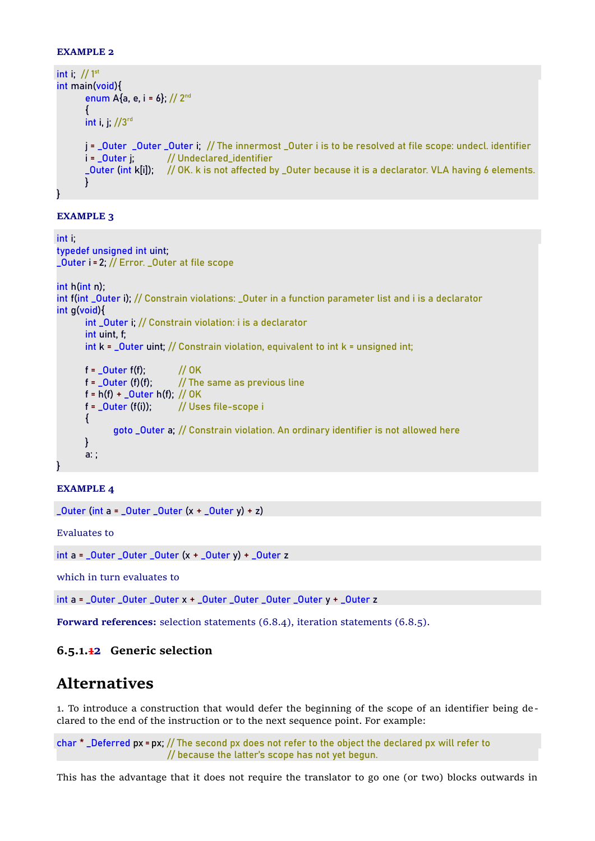#### **EXAMPLE 2**

```
int i; // 1<sup>st</sup>int main(void){ 
       enum A\{a, e, i = 6\}; // 2<sup>nd</sup>
       {
       int i, j; //3rd
       j = _Outer _Outer _Outer i; // The innermost _Outer i is to be resolved at file scope: undecl. identifier
       i = _Outer j; // Undeclared_identifier
       _Outer (int k[i]); // OK. k is not affected by _Outer because it is a declarator. VLA having 6 elements.
       }
}
```
#### **EXAMPLE 3**

```
int i;
typedef unsigned int uint;
_Outer i = 2; // Error. _Outer at file scope
int h(int n);
int f(int _Outer i); // Constrain violations: _Outer in a function parameter list and i is a declarator
int g(void){
       int _Outer i; // Constrain violation: i is a declarator
       int uint, f;
       int k = 0uter uint; // Constrain violation, equivalent to int k = unsigned int;
      f = Outer f(f): // OK
      f = _Outer (f)(f); // The same as previous line
      f = h(f) + _0uter h(f); // 0K
      f = _Outer (f(i)); // Uses file-scope i
       {
             goto _Outer a; // Constrain violation. An ordinary identifier is not allowed here
      }
      a: ;
}
```
#### **EXAMPLE 4**

```
\_Outer (int a = \_Outer \_Outer (x + _\_Outer y) + z)
```
Evaluates to

int  $a =$  \_Outer \_Outer \_Outer  $(x +$  \_Outer  $y) +$  \_Outer z

which in turn evaluates to

 $int a =$  Outer Outer Outer  $x +$  Outer Outer Outer Outer  $y +$  Outer z

**Forward references:** selection statements (6.8.4), iteration statements (6.8.5).

### **6.5.1.12 Generic selection**

## **Alternatives**

1. To introduce a construction that would defer the beginning of the scope of an identifier being declared to the end of the instruction or to the next sequence point. For example:

char \* \_Deferred px = px; // The second px does not refer to the object the declared px will refer to // because the latter's scope has not yet begun.

This has the advantage that it does not require the translator to go one (or two) blocks outwards in